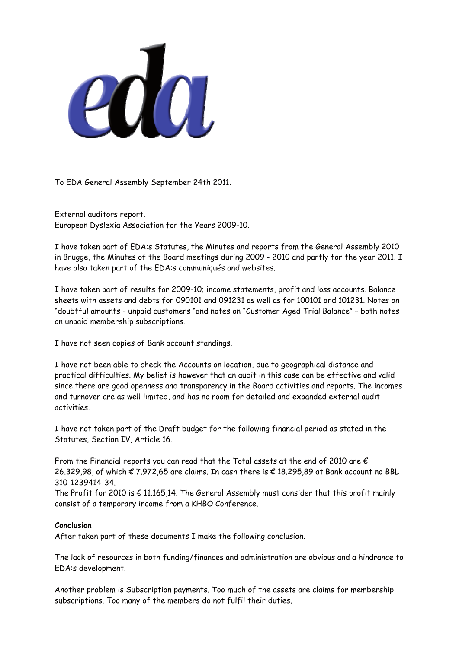

To EDA General Assembly September 24th 2011.

External auditors report. European Dyslexia Association for the Years 2009-10.

I have taken part of EDA:s Statutes, the Minutes and reports from the General Assembly 2010 in Brugge, the Minutes of the Board meetings during 2009 - 2010 and partly for the year 2011. I have also taken part of the EDA:s communiqués and websites.

I have taken part of results for 2009-10; income statements, profit and loss accounts. Balance sheets with assets and debts for 090101 and 091231 as well as for 100101 and 101231. Notes on "doubtful amounts – unpaid customers "and notes on "Customer Aged Trial Balance" – both notes on unpaid membership subscriptions.

I have not seen copies of Bank account standings.

I have not been able to check the Accounts on location, due to geographical distance and practical difficulties. My belief is however that an audit in this case can be effective and valid since there are good openness and transparency in the Board activities and reports. The incomes and turnover are as well limited, and has no room for detailed and expanded external audit activities.

I have not taken part of the Draft budget for the following financial period as stated in the Statutes, Section IV, Article 16.

From the Financial reports you can read that the Total assets at the end of 2010 are  $\epsilon$ 26.329,98, of which € 7.972,65 are claims. In cash there is € 18.295,89 at Bank account no BBL 310-1239414-34.

The Profit for 2010 is  $\epsilon$  11.165.14. The General Assembly must consider that this profit mainly consist of a temporary income from a KHBO Conference.

## **Conclusion**

After taken part of these documents I make the following conclusion.

The lack of resources in both funding/finances and administration are obvious and a hindrance to EDA:s development.

Another problem is Subscription payments. Too much of the assets are claims for membership subscriptions. Too many of the members do not fulfil their duties.